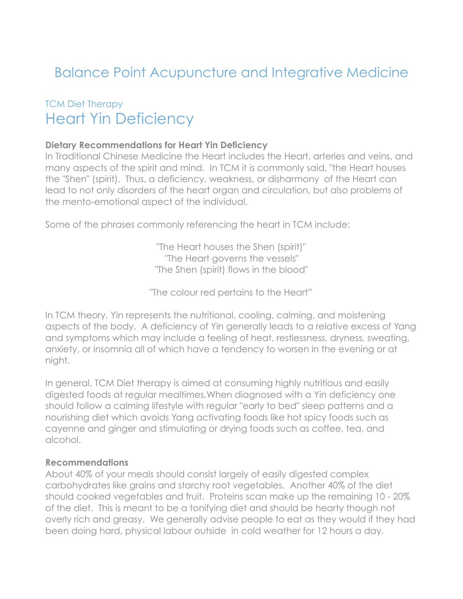# Balance Point Acupuncture and Integrative Medicine

# TCM Diet Therapy Heart Yin Deficiency

#### **Dietary Recommendations for Heart Yin Deficiency**

In Traditional Chinese Medicine the Heart includes the Heart, arteries and veins, and many aspects of the spirit and mind. In TCM it is commonly said, "the Heart houses the "Shen" (spirit). Thus, a deficiency, weakness, or disharmony of the Heart can lead to not only disorders of the heart organ and circulation, but also problems of the mento-emotional aspect of the individual.

Some of the phrases commonly referencing the heart in TCM include:

"The Heart houses the Shen (spirit)" "The Heart governs the vessels" "The Shen (spirit) flows in the blood"

"The colour red pertains to the Heart"

In TCM theory, Yin represents the nutritional, cooling, calming, and moistening aspects of the body. A deficiency of Yin generally leads to a relative excess of Yang and symptoms which may include a feeling of heat, restlessness, dryness, sweating, anxiety, or insomnia all of which have a tendency to worsen in the evening or at night.

In general, TCM Diet therapy is aimed at consuming highly nutritious and easily digested foods at regular mealtimes.When diagnosed with a Yin deficiency one should follow a calming lifestyle with regular "early to bed" sleep patterns and a nourishing diet which avoids Yang activating foods like hot spicy foods such as cayenne and ginger and stimulating or drying foods such as coffee, tea, and alcohol.

#### **Recommendations**

About 40% of your meals should consist largely of easily digested complex carbohydrates like grains and starchy root vegetables. Another 40% of the diet should cooked vegetables and fruit. Proteins scan make up the remaining 10 - 20% of the diet. This is meant to be a tonifying diet and should be hearty though not overly rich and greasy. We generally advise people to eat as they would if they had been doing hard, physical labour outside in cold weather for 12 hours a day.